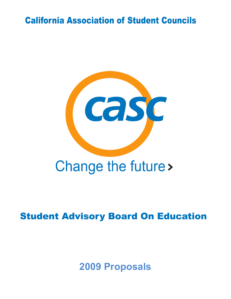# **California Association of Student Councils**



# **Student Advisory Board On Education**

**2009 Proposals**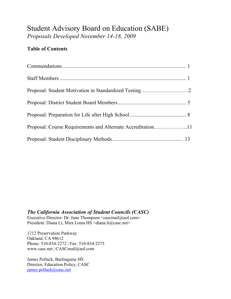## Student Advisory Board on Education (SABE) *Proposals Developed November 14-18, 2009*

## **Table of Contents**

| Proposal: Course Requirements and Alternate Accreditation11 |  |
|-------------------------------------------------------------|--|
|                                                             |  |

*The California Association of Student Councils (CASC)* Executive Director: Dr. June Thompson  $\leq$ cascmail@aol.com> President: Diana Li, Mira Loma HS <diana.li@casc.net>

1212 Preservation Parkway Oakland, CA 94612 Phone: 510-834-2272 | Fax: 510-834-2275 www.casc.net | CASCmail@aol.com

James Pollack, Burlingame HS Director, Education Policy, CASC james.pollack@casc.net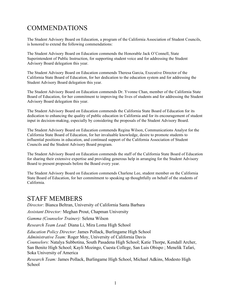## COMMENDATIONS

The Student Advisory Board on Education, a program of the California Association of Student Councils, is honored to extend the following commendations:

The Student Advisory Board on Education commends the Honorable Jack O'Connell, State Superintendent of Public Instruction, for supporting student voice and for addressing the Student Advisory Board delegation this year.

The Student Advisory Board on Education commends Theresa Garcia, Executive Director of the California State Board of Education, for her dedication to the education system and for addressing the Student Advisory Board delegation this year.

The Student Advisory Board on Education commends Dr. Yvonne Chan, member of the California State Board of Education, for her commitment to improving the lives of students and for addressing the Student Advisory Board delegation this year.

The Student Advisory Board on Education commends the California State Board of Education for its dedication to enhancing the quality of public education in California and for its encouragement of student input in decision-making, especially by considering the proposals of the Student Advisory Board.

The Student Advisory Board on Education commends Regina Wilson, Communications Analyst for the California State Board of Education, for her invaluable knowledge, desire to promote students to influential positions in education, and continued support of the California Association of Student Councils and the Student Advisory Board program.

The Student Advisory Board on Education commends the staff of the California State Board of Education for sharing their extensive expertise and providing generous help in arranging for the Student Advisory Board to present proposals before the Board every year.

The Student Advisory Board on Education commends Charlene Lee, student member on the California State Board of Education, for her commitment to speaking up thoughtfully on behalf of the students of California.

## STAFF MEMBERS

*Director:* Bianca Beltran, University of California Santa Barbara

*Assistant Director:* Meghan Prout, Chapman University

*Gamma (Counselor Trainer):* Selena Wilson

*Research Team Lead:* Diana Li, Mira Loma High School

*Education Policy Director*: James Pollack, Burlingame High School

*Administrative Team:* Roger Moy, University of California Davis

*Counselors:* Natalya Subbotina, South Pasadena High School; Katie Thorpe, Kendall Archer, San Benito High School; Kayli Mozingo, Cuesta College, San Luis Obispo ; Menelik Tafari, Soka University of America

*Research Team:* James Pollack, Burlingame High School, Michael Adkins, Modesto High School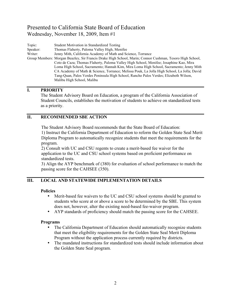Topic: Student Motivation in Standardized Testing Speaker: Thomas Flaherty, Paloma Valley High, Menifee Writer: Jenny Mith, California Academy of Math and Science, Torrance Group Members: Morgan Beazley, Sir Francis Drake High School, Marin; Connor Cushman, Tesoro High School, Coto de Caza; Thomas Flaherty, Paloma Valley High School, Menifee; Josaphine Kao, Mira Loma High School, Sacramento; Hannah Kim, Mira Loma High School, Sacramento; Jenny Mith CA Academy of Math & Science, Torrance; Melissa Pouk, La Jolla High School, La Jolla; David Tang-Quan, Palos Verdes Peninsula High School, Rancho Palos Verdes; Elizabeth Wilson, Malibu High School, Malibu

#### **I. PRIORITY**

The Student Advisory Board on Education, a program of the California Association of Student Councils, establishes the motivation of students to achieve on standardized tests as a priority.

#### **II. RECOMMENDED SBE ACTION**

The Student Advisory Board recommends that the State Board of Education:

1) Instruct the California Department of Education to reform the Golden State Seal Merit Diploma Program to automatically recognize students that meet the requirements for the program.

2) Consult with UC and CSU regents to create a merit-based fee waiver for the application to the UC and CSU school systems based on proficient performance on standardized tests.

3) Align the AYP benchmark of (380) for evaluation of school performance to match the passing score for the CAHSEE (350).

#### **III. LOCAL AND STATEWIDE IMPLEMENTATION DETAILS**

#### **Policies**

- Merit-based fee waivers to the UC and CSU school systems should be granted to students who score at or above a score to be determined by the SBE. This system does not, however, alter the existing need-based fee-waiver program.
- AYP standards of proficiency should match the passing score for the CAHSEE.

#### **Programs**

- The California Department of Education should automatically recognize students that meet the eligibility requirements for the Golden State Seal Merit Diploma Program without the application process currently required by districts.
- The mandated instructions for standardized tests should include information about the Golden State Seal program.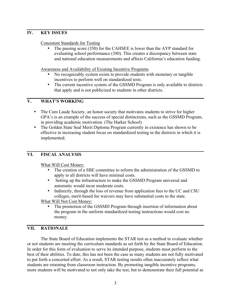#### **IV. KEY ISSUES**

#### Consistent Standards for Testing

The passing score (350) for the CAHSEE is lower than the AYP standard for evaluating school performance (380). This creates a discrepancy between state and national education measurements and affects California's education funding.

Awareness and Availability of Existing Incentive Programs

- No recognizably system exists to provide students with monetary or tangible incentives to perform well on standardized tests.
- The current incentive system of the GSSMD Program is only available to districts that apply and is not publicized to students in other districts.

#### **V. WHAT'S WORKING**

- The Cum Laude Society, an honor society that motivates students to strive for higher GPA's is an example of the success of special distinctions, such as the GSSMD Program, in providing academic motivation. (The Harker School)
- The Golden State Seal Merit Diploma Program currently in existence has shown to be effective in increasing student focus on standardized testing in the districts in which it is implemented.

#### **VI. FISCAL ANALYSIS**

What Will Cost Money:

- The creation of a SBE committee to reform the administration of the GSSMD to apply to all districts will have minimal costs.
- Setting up the infrastructure to make the GSSMD Program universal and automatic would incur moderate costs.
- Indirectly, through the loss of revenue from application fees to the UC and CSU colleges, merit-based fee waivers may have substantial costs to the state.

What Will Not Cost Money:

The promotion of the GSSMD Program through insertion of information about the program in the uniform standardized testing instructions would cost no money.

#### **VII. RATIONALE**

The State Board of Education implements the STAR test as a method to evaluate whether or not students are meeting the curriculum standards as set forth by the State Board of Education. In order for this form of evaluation to serve its intended purpose, students must perform to the best of their abilities. To date, this has not been the case as many students are not fully motivated to put forth a concerted effort. As a result, STAR testing results often inaccurately reflect what students are retaining from classroom instruction. By promoting tangible incentive programs, more students will be motivated to not only take the test, but to demonstrate their full potential as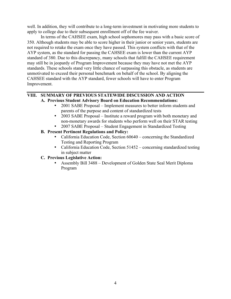well. In addition, they will contribute to a long-term investment in motivating more students to apply to college due to their subsequent enrollment off of the fee waiver.

In terms of the CAHSEE exam, high school sophomores may pass with a basic score of 350. Although students may be able to score higher in their junior or senior years, students are not required to retake the exam once they have passed. This system conflicts with that of the AYP system, as the standard for passing the CAHSEE exam is lower than the current AYP standard of 380. Due to this discrepancy, many schools that fulfill the CAHSEE requirement may still be in jeopardy of Program Improvement because they may have not met the AYP standards. These schools stand very little chance of surpassing this obstacle, as students are unmotivated to exceed their personal benchmark on behalf of the school. By aligning the CAHSEE standard with the AYP standard, fewer schools will have to enter Program Improvement.

## **VIII. SUMMARY OF PREVIOUS STATEWIDE DISCUSSION AND ACTION**

#### **A. Previous Student Advisory Board on Education Recommendations:**

- 2001 SABE Proposal Implement measures to better inform students and parents of the purpose and content of standardized tests
- 2003 SABE Proposal Institute a reward program with both monetary and non-monetary awards for students who perform well on their STAR testing
- 2007 SABE Proposal Student Engagement in Standardized Testing
- **B. Present Pertinent Regulations and Policy:**
	- California Education Code, Section 60640 concerning the Standardized Testing and Reporting Program
	- California Education Code, Section 51452 concerning standardized testing in subject matter
- **C. Previous Legislative Action:**
	- Assembly Bill 3488 Development of Golden State Seal Merit Diploma Program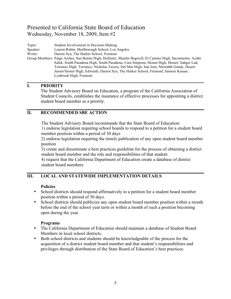Topic: Student Involvement in Decision-Making Speaker: Lauren Rubin, Marlborough School, Los Angeles Writer: Darren Syu, The Harker School, Fremont Group Members: Paige Archer, San Benito High, Hollister; Shaefer Bagwell, El Camino High, Sacramento; Aydin Salek, South Pasadena High, South Pasadena, Cara Simpson, Hemet High, Hemet; Sahger Lad, Torrance High, Torrance; Nicholas Taxera, Del Mar High, San Jose; Meredith Gandy, Desert Junior/Senior High, Edwards; Darren Syu, The Harker School, Fremont; Sameer Kausar, Lynbrook High, Fremont

#### **I. PRIORITY**

The Student Advisory Board on Education, a program of the California Association of Student Councils, establishes the insurance of effective processes for appointing a district student board member as a priority.

#### **II. RECOMMENDED SBE ACTION**

The Student Advisory Board recommends that the State Board of Education: 1) endorse legislation requiring school boards to respond to a petition for a student board

member position within a period of 30 days 2) endorse legislation requiring the timely publication of any open student board member

position

3) create and disseminate a best practices guideline for the process of obtaining a district student board member and the role and responsibilities of that student

4) request that the California Department of Education create a database of district student board members

#### **III. LOCAL AND STATEWIDE IMPLEMENTATION DETAILS**

#### **Policies**

- School districts should respond affirmatively to a petition for a student board member position within a period of 30 days.
- School districts should publicize any open student board member position within a month before the end of the school year term or within a month of such a position becoming open during the year.

#### **Programs**

- The California Department of Education should maintain a database of Student Board Members in local school districts.
- Both school districts and students should be knowledgeable of the process for the acquisition of a district student board member and that student's responsibilities and privileges through distribution of the State Board of Education's best practices.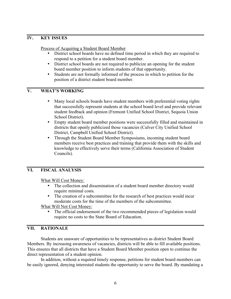#### **IV. KEY ISSUES**

Process of Acquiring a Student Board Member

- District school boards have no defined time period in which they are required to respond to a petition for a student board member.
- District school boards are not required to publicize an opening for the student board member position to inform students of that opportunity.
- Students are not formally informed of the process in which to petition for the position of a district student board member.

#### **V. WHAT'S WORKING**

- Many local schools boards have student members with preferential voting rights that successfully represent students at the school board level and provide relevant student feedback and opinion (Fremont Unified School District, Sequoia Union School District).
- Empty student board member positions were successfully filled and maintained in districts that openly publicized those vacancies (Culver City Unified School District, Campbell Unified School District).
- Through the Student Board Member Symposiums, incoming student board members receive best practices and training that provide them with the skills and knowledge to effectively serve their terms (California Association of Student Councils).

#### **VI. FISCAL ANALYSIS**

What Will Cost Money:

- The collection and dissemination of a student board member directory would require minimal costs.
- The creation of a subcommittee for the research of best practices would incur moderate costs for the time of the members of the subcommittee.

What Will Not Cost Money:

The official endorsement of the two recommended pieces of legislation would require no costs to the State Board of Education.

#### **VII. RATIONALE**

Students are unaware of opportunities to be representatives as district Student Board Members. By increasing awareness of vacancies, districts will be able to fill available positions. This ensures that all districts that have a Student Board Member position open to continue the direct representation of a student opinion.

In addition, without a required timely response, petitions for student board members can be easily ignored, denying interested students the opportunity to serve the board. By mandating a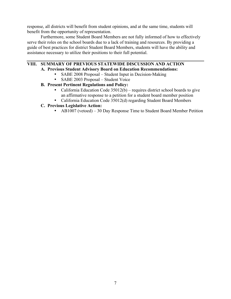response, all districts will benefit from student opinions, and at the same time, students will benefit from the opportunity of representation.

Furthermore, some Student Board Members are not fully informed of how to effectively serve their roles on the school boards due to a lack of training and resources. By providing a guide of best practices for district Student Board Members, students will have the ability and assistance necessary to utilize their positions to their full potential.

### **VIII. SUMMARY OF PREVIOUS STATEWIDE DISCUSSION AND ACTION**

- **A. Previous Student Advisory Board on Education Recommendations:**
	- SABE 2008 Proposal Student Input in Decision-Making
	- SABE 2003 Proposal Student Voice

#### **B. Present Pertinent Regulations and Policy:**

- California Education Code  $35012(b)$  requires district school boards to give an affirmative response to a petition for a student board member position
- California Education Code 35012(d) regarding Student Board Members

#### **C. Previous Legislative Action:**

• AB1007 (vetoed) – 30 Day Response Time to Student Board Member Petition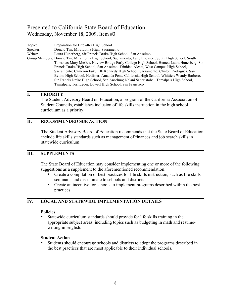Topic: Preparation for Life after High School Speaker: Donald Tan, Mira Loma High, Sacramento Writer: Laura Hunerberg, Sir Francis Drake High School, San Anselmo Group Members: Donald Tan, Mira Loma High School, Sacramento; Lane Erickson, South High School, South Torrance; Mary McGee, Nuview Bridge Early College High School, Hemet; Laura Hunerberg, Sir Francis Drake High School, San Anselmo; Trinidad Alcata, West Campus High School, Sacramento; Cameron Fukui, JF Kennedy High School, Sacramento; Clinton Rodriguez, San Benito High School, Hollister; Amanda Pena, California High School, Whittier; Wendy Barbero, Sir Francis Drake High School, San Anselmo; Nalani Sancristobal, Tamalpais High School, Tamalpais; Tori Leder, Lowell High School, San Francisco

#### **I. PRIORITY**

The Student Advisory Board on Education, a program of the California Association of Student Councils, establishes inclusion of life skills instruction in the high school curriculum as a priority.

#### **II. RECOMMENDED SBE ACTION**

The Student Advisory Board of Education recommends that the State Board of Education include life skills standards such as management of finances and job search skills in statewide curriculum.

#### **III. SUPPLEMENTS**

The State Board of Education may consider implementing one or more of the following suggestions as a supplement to the aforementioned recommendation:

- Create a compilation of best practices for life skills instruction, such as life skills seminars, and disseminate to schools and districts
- Create an incentive for schools to implement programs described within the best practices

#### **IV. LOCAL AND STATEWIDE IMPLEMENTATION DETAILS**

#### **Policies**

• Statewide curriculum standards should provide for life skills training in the appropriate subject areas, including topics such as budgeting in math and resumewriting in English.

#### **Student Action**

• Students should encourage schools and districts to adopt the programs described in the best practices that are most applicable to their individual schools.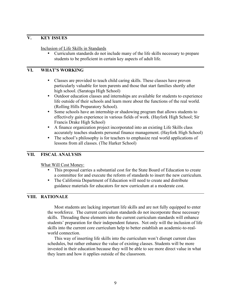#### **V. KEY ISSUES**

#### Inclusion of Life Skills in Standards

• Curriculum standards do not include many of the life skills necessary to prepare students to be proficient in certain key aspects of adult life.

#### **VI. WHAT'S WORKING**

- Classes are provided to teach child caring skills. These classes have proven particularly valuable for teen parents and those that start families shortly after high school. (Saratoga High School)
- Outdoor education classes and internships are available for students to experience life outside of their schools and learn more about the functions of the real world. (Rolling Hills Preparatory School).
- Some schools have an internship or shadowing program that allows students to effectively gain experience in various fields of work. (Hayfork High School; Sir Francis Drake High School)
- A finance organization project incorporated into an existing Life Skills class accurately teaches students personal finance management. (Hayfork High School)
- The school's philosophy is for teachers to emphasize real world applications of lessons from all classes. (The Harker School)

#### **VII. FISCAL ANALYSIS**

What Will Cost Money:

- This proposal carries a substantial cost for the State Board of Education to create a committee for and execute the reform of standards to insert the new curriculum.
- The California Department of Education will need to create and distribute guidance materials for educators for new curriculum at a moderate cost.

#### **VIII. RATIONALE**

Most students are lacking important life skills and are not fully equipped to enter the workforce. The current curriculum standards do not incorporate these necessary skills. Threading these elements into the current curriculum standards will enhance students' preparation for their independent futures. Not only will the inclusion of life skills into the current core curriculum help to better establish an academic-to-realworld connection.

This way of inserting life skills into the curriculum won't disrupt current class schedules, but rather enhance the value of existing classes. Students will be more invested in their education because they will be able to see more direct value in what they learn and how it applies outside of the classroom.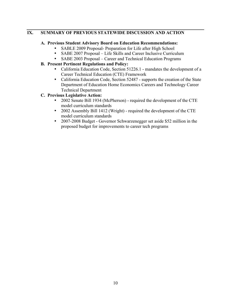#### **IX. SUMMARY OF PREVIOUS STATEWIDE DISCUSSION AND ACTION**

#### **A. Previous Student Advisory Board on Education Recommendations:**

- SABLE 2009 Proposal- Preparation for Life after High School
- SABE 2007 Proposal Life Skills and Career Inclusive Curriculum<br>• SABE 2003 Proposal Career and Technical Education Programs
- SABE 2003 Proposal Career and Technical Education Programs
- **B. Present Pertinent Regulations and Policy:**
	- California Education Code, Section 51226.1 mandates the development of a Career Technical Education (CTE) Framework
	- California Education Code, Section 52487 supports the creation of the State Department of Education Home Economics Careers and Technology Career Technical Department
- **C. Previous Legislative Action:**
	- 2002 Senate Bill 1934 (McPherson) required the development of the CTE model curriculum standards
	- 2002 Assembly Bill 1412 (Wright) required the development of the CTE model curriculum standards
	- 2007-2008 Budget Governor Schwarzenegger set aside \$52 million in the proposed budget for improvements to career tech programs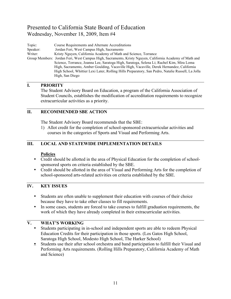Topic: Course Requirements and Alternate Accreditations Speaker: Jordan Feri, West Campus High, Sacramento Writer: Kristy Nguyen, California Academy of Math and Science, Torrance Group Members: Jordan Feri, West Campus High, Sacramento, Kristy Nguyen, California Academy of Math and Science, Torrance, Joanna Lee, Saratoga High, Saratoga, Selena Li; Rachel Kim, Mira Loma High, Sacramento, Amber Goulding, Vacaville High, Vacaville, Derek Hernandez, California High School, Whittier Lexi Later, Rolling Hills Preparatory, San Pedro, Natalie Russell, La Jolla High, San Diego

#### **I. PRIORITY**

The Student Advisory Board on Education, a program of the California Association of Student Councils, establishes the modification of accreditation requirements to recognize extracurricular activities as a priority.

#### **II. RECOMMENDED SBE ACTION**

The Student Advisory Board recommends that the SBE:

1) Allot credit for the completion of school-sponsored extracurricular activities and courses in the categories of Sports and Visual and Performing Arts.

#### **III. LOCAL AND STATEWIDE IMPLEMENTATION DETAILS**

#### **Policies**

- Credit should be allotted in the area of Physical Education for the completion of schoolsponsored sports on criteria established by the SBE.
- Credit should be allotted in the area of Visual and Performing Arts for the completion of school-sponsored arts-related activities on criteria established by the SBE.

#### **IV. KEY ISSUES**

- Students are often unable to supplement their education with courses of their choice because they have to take other classes to fill requirements.
- In some cases, students are forced to take courses to fulfill graduation requirements, the work of which they have already completed in their extracurricular activities.

#### **V. WHAT'S WORKING**

- Students participating in in-school and independent sports are able to redeem Physical Education Credits for their participation in those sports. (Los Gatos High School, Saratoga High School, Modesto High School, The Harker School)
- Students use their after school orchestra and band participation to fulfill their Visual and Performing Arts requirements. (Rolling Hills Preparatory, California Academy of Math and Science)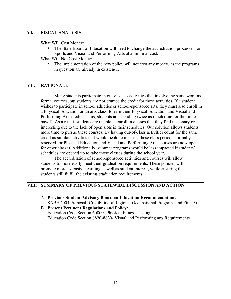#### **VI. FISCAL ANALYSIS**

What Will Cost Money:

• The State Board of Education will need to change the accreditation processes for Sports and Visual and Performing Arts at a minimal cost.

What Will Not Cost Money:

The implementation of the new policy will not cost any money, as the programs in question are already in existence.

#### **VII. RATIONALE**

Many students participate in out-of-class activities that involve the same work as formal courses, but students are not granted the credit for these activities. If a student wishes to participate in school athletics or school-sponsored arts, they must also enroll in a Physical Education or an arts class, to earn their Physical Education and Visual and Performing Arts credits. Thus, students are spending twice as much time for the same payoff. As a result, students are unable to enroll in classes that they find necessary or interesting due to the lack of open slots in their schedules. Our solution allows students more time to pursue these courses. By having out-of-class activities count for the same credit as similar activities that would be done in class, these class periods normally reserved for Physical Education and Visual and Performing Arts courses are now open for other classes. Additionally, summer programs would be less impacted if students' schedules are opened up to take those classes during the school year.

The accreditation of school-sponsored activities and courses will allow students to more easily meet their graduation requirements. These policies will promote more extensive learning as well as student interest, while ensuring that students still fulfill the existing graduation requirements.

#### **VIII. SUMMARY OF PREVIOUS STATEWIDE DISCUSSION AND ACTION**

- A. **Previous Student Advisory Board on Education Recommendations** SABE 2004 Proposal- Credibility of Regional Occupational Programs and Fine Arts
- B. **Present Pertinent Regulations and Policy:** Education Code Section 60800- Physical Fitness Testing Education Code Section 8820-8830- Visual and Performing arts Requirements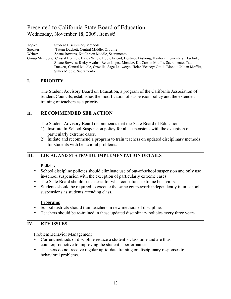Topic: Student Disciplinary Methods Speaker: Tatum Duckett, Central Middle, Oroville Writer: Zhané Bowens, Kit Carson Middle, Sacramento Group Members: Crystal Homicz; Haley Wiley; Bobie Friend; Destinee Dishong, Hayfork Elementary, Hayfork, Zhané Bowens; Ricky Avalos; Belen Lopez-Mendez, Kit Carson Middle, Sacramento, Tatum Duckett, Central Middle, Oroville, Sage Lauwerys; Helen Veazey; Ottilia Biondi; Gillian Moffitt, Sutter Middle, Sacramento

#### **I. PRIORITY**

The Student Advisory Board on Education, a program of the California Association of Student Councils, establishes the modification of suspension policy and the extended training of teachers as a priority.

#### **II. RECOMMENDED SBE ACTION**

The Student Advisory Board recommends that the State Board of Education:

- 1) Institute In-School Suspension policy for all suspensions with the exception of particularly extreme cases.
- 2) Initiate and recommend a program to train teachers on updated disciplinary methods for students with behavioral problems.

#### **III. LOCAL AND STATEWIDE IMPLEMENTATION DETAILS**

#### **Policies**

- School discipline policies should eliminate use of out-of-school suspension and only use in-school suspension with the exception of particularly extreme cases.
- The State Board should set criteria for what constitutes extreme behaviors.
- Students should be required to execute the same coursework independently in in-school suspensions as students attending class.

#### **Programs**

- School districts should train teachers in new methods of discipline.
- Teachers should be re-trained in these updated disciplinary policies every three years.

#### **IV. KEY ISSUES**

Problem Behavior Management

- Current methods of discipline reduce a student's class time and are thus counterproductive to improving the student's performance.
- Teachers do not receive regular up-to-date training on disciplinary responses to behavioral problems.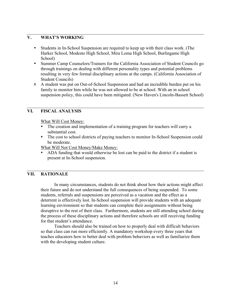#### **V. WHAT'S WORKING**

- Students in In-School Suspension are required to keep up with their class work. (The Harker School, Modesto High School, Mira Loma High School, Burlingame High School)
- Summer Camp Counselors/Trainers for the California Association of Student Councils go through trainings on dealing with different personality types and potential problems resulting in very few formal disciplinary actions at the camps. (California Association of Student Councils)
- A student was put on Out-of-School Suspension and had an incredible burden put on his family to monitor him while he was not allowed to be at school. With an in school suspension policy, this could have been mitigated. (New Haven's Lincoln-Bassett School)

#### **VI. FISCAL ANALYSIS**

What Will Cost Money:

- The creation and implementation of a training program for teachers will carry a substantial cost.
- The cost to school districts of paying teachers to monitor In-School Suspension could be moderate

What Will Not Cost Money/Make Money:

• ADA funding that would otherwise be lost can be paid to the district if a student is present at In-School suspension.

#### **VII. RATIONALE**

In many circumstances, students do not think about how their actions might affect their future and do not understand the full consequences of being suspended. To some students, referrals and suspensions are perceived as a vacation and the effect as a deterrent is effectively lost. In-School suspension will provide students with an adequate learning environment so that students can complete their assignments without being disruptive to the rest of their class. Furthermore, students are still attending school during the process of these disciplinary actions and therefore schools are still receiving funding for that student's attendance.

Teachers should also be trained on how to properly deal with difficult behaviors so that class can run more efficiently. A mandatory workshop every three years that teaches educators how to better deal with problem behaviors as well as familiarize them with the developing student culture.